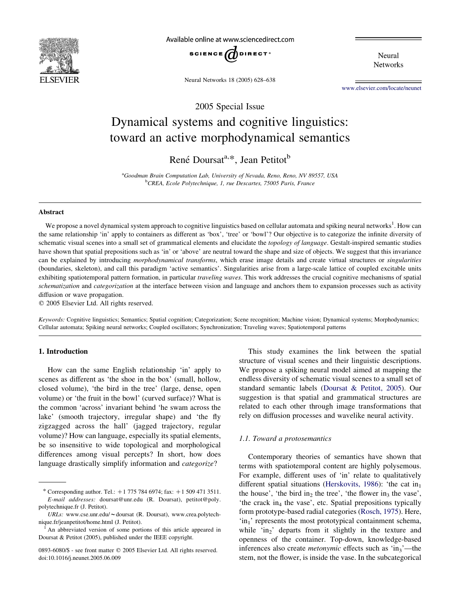

Available online at www.sciencedirect.com



Neural Networks 18 (2005) 628–638

[www.elsevier.com/locate/neunet](http://www.elsevier.com/locate/neunet)

Neural **Networks** 

2005 Special Issue

# Dynamical systems and cognitive linguistics: toward an active morphodynamical semantics

René Doursat<sup>a,\*</sup>, Jean Petitot<sup>b</sup>

<sup>a</sup>Goodman Brain Computation Lab, University of Nevada, Reno, Reno, NV 89557, USA <sup>b</sup>CREA, Ecole Polytechnique, 1, rue Descartes, 75005 Paris, France

#### Abstract

We propose a novel dynamical system approach to cognitive linguistics based on cellular automata and spiking neural networks<sup>1</sup>. How can the same relationship 'in' apply to containers as different as 'box', 'tree' or 'bowl'? Our objective is to categorize the infinite diversity of schematic visual scenes into a small set of grammatical elements and elucidate the topology of language. Gestalt-inspired semantic studies have shown that spatial prepositions such as 'in' or 'above' are neutral toward the shape and size of objects. We suggest that this invariance can be explained by introducing morphodynamical transforms, which erase image details and create virtual structures or singularities (boundaries, skeleton), and call this paradigm 'active semantics'. Singularities arise from a large-scale lattice of coupled excitable units exhibiting spatiotemporal pattern formation, in particular *traveling waves*. This work addresses the crucial cognitive mechanisms of spatial schematization and categorization at the interface between vision and language and anchors them to expansion processes such as activity diffusion or wave propagation.

 $©$  2005 Elsevier Ltd. All rights reserved.

Keywords: Cognitive linguistics; Semantics; Spatial cognition; Categorization; Scene recognition; Machine vision; Dynamical systems; Morphodynamics; Cellular automata; Spiking neural networks; Coupled oscillators; Synchronization; Traveling waves; Spatiotemporal patterns

# 1. Introduction

How can the same English relationship 'in' apply to scenes as different as 'the shoe in the box' (small, hollow, closed volume), 'the bird in the tree' (large, dense, open volume) or 'the fruit in the bowl' (curved surface)? What is the common 'across' invariant behind 'he swam across the lake' (smooth trajectory, irregular shape) and 'the fly zigzagged across the hall' (jagged trajectory, regular volume)? How can language, especially its spatial elements, be so insensitive to wide topological and morphological differences among visual percepts? In short, how does language drastically simplify information and categorize?

This study examines the link between the spatial structure of visual scenes and their linguistic descriptions. We propose a spiking neural model aimed at mapping the endless diversity of schematic visual scenes to a small set of standard semantic labels [\(Doursat & Petitot, 2005\)](#page-9-0). Our suggestion is that spatial and grammatical structures are related to each other through image transformations that rely on diffusion processes and wavelike neural activity.

### 1.1. Toward a protosemantics

Contemporary theories of semantics have shown that terms with spatiotemporal content are highly polysemous. For example, different uses of 'in' relate to qualitatively different spatial situations ([Herskovits, 1986](#page-9-0)): 'the cat in<sub>1</sub> the house', 'the bird in<sub>2</sub> the tree', 'the flower in<sub>3</sub> the vase', 'the crack in<sub>4</sub> the vase', etc. Spatial prepositions typically form prototype-based radial categories [\(Rosch, 1975\)](#page-10-0). Here,  $\sin<sub>1</sub>$ ' represents the most prototypical containment schema, while  $in_2$  departs from it slightly in the texture and openness of the container. Top-down, knowledge-based inferences also create *metonymic* effects such as 'in<sub>3</sub>'—the stem, not the flower, is inside the vase. In the subcategorical

<sup>\*</sup> Corresponding author. Tel.:  $+1$  775 784 6974; fax:  $+1$  509 471 3511. E-mail addresses: doursat@unr.edu (R. Doursat), petitot@poly. polytechnique.fr (J. Petitot).

URLs: www.cse.unr.edu/ $\sim$ doursat (R. Doursat), www.crea.polytechnique.fr/jeanpetitot/home.html (J. Petitot).

<sup>&</sup>lt;sup>1</sup> An abbreviated version of some portions of this article appeared in Doursat & Petitot (2005), published under the IEEE copyright.

<sup>0893-6080/\$ -</sup> see front matter © 2005 Elsevier Ltd. All rights reserved. doi:10.1016/j.neunet.2005.06.009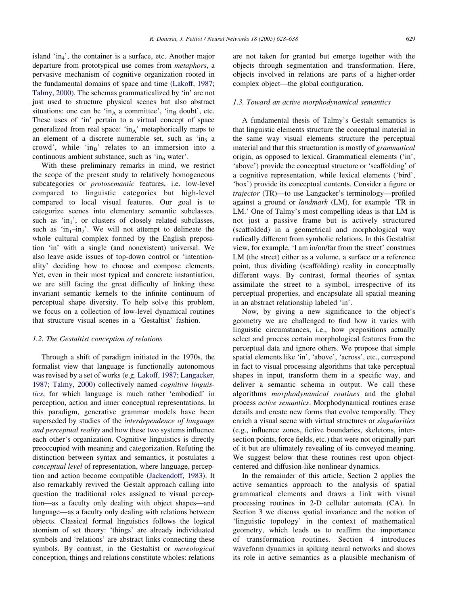island 'in4', the container is a surface, etc. Another major departure from prototypical use comes from metaphors, a pervasive mechanism of cognitive organization rooted in the fundamental domains of space and time ([Lakoff, 1987;](#page-9-0) [Talmy, 2000\)](#page-9-0). The schemas grammaticalized by 'in' are not just used to structure physical scenes but also abstract situations: one can be 'in<sub>A</sub> a committee', 'in<sub>B</sub> doubt', etc. These uses of 'in' pertain to a virtual concept of space generalized from real space:  $i_{n_A}$ ' metaphorically maps to an element of a discrete numerable set, such as  $in<sub>5</sub>$  a crowd', while  $i_{\text{in}}$ ' relates to an immersion into a continuous ambient substance, such as 'in $<sub>6</sub>$  water'.</sub>

With these preliminary remarks in mind, we restrict the scope of the present study to relatively homogeneous subcategories or protosemantic features, i.e. low-level compared to linguistic categories but high-level compared to local visual features. Our goal is to categorize scenes into elementary semantic subclasses, such as  $in_1$ ', or clusters of closely related subclasses, such as ' $in_1$ - $in_2$ '. We will not attempt to delineate the whole cultural complex formed by the English preposition 'in' with a single (and nonexistent) universal. We also leave aside issues of top-down control or 'intentionality' deciding how to choose and compose elements. Yet, even in their most typical and concrete instantiation, we are still facing the great difficulty of linking these invariant semantic kernels to the infinite continuum of perceptual shape diversity. To help solve this problem, we focus on a collection of low-level dynamical routines that structure visual scenes in a 'Gestaltist' fashion.

## 1.2. The Gestaltist conception of relations

Through a shift of paradigm initiated in the 1970s, the formalist view that language is functionally autonomous was revised by a set of works (e.g. [Lakoff, 1987; Langacker,](#page-9-0) [1987; Talmy, 2000\)](#page-9-0) collectively named cognitive linguistics, for which language is much rather 'embodied' in perception, action and inner conceptual representations. In this paradigm, generative grammar models have been superseded by studies of the interdependence of language and perceptual reality and how these two systems influence each other's organization. Cognitive linguistics is directly preoccupied with meaning and categorization. Refuting the distinction between syntax and semantics, it postulates a conceptual level of representation, where language, perception and action become compatible ([Jackendoff, 1983\)](#page-9-0). It also remarkably revived the Gestalt approach calling into question the traditional roles assigned to visual perception—as a faculty only dealing with object shapes—and language—as a faculty only dealing with relations between objects. Classical formal linguistics follows the logical atomism of set theory: 'things' are already individuated symbols and 'relations' are abstract links connecting these symbols. By contrast, in the Gestaltist or mereological conception, things and relations constitute wholes: relations

are not taken for granted but emerge together with the objects through segmentation and transformation. Here, objects involved in relations are parts of a higher-order complex object—the global configuration.

## 1.3. Toward an active morphodynamical semantics

A fundamental thesis of Talmy's Gestalt semantics is that linguistic elements structure the conceptual material in the same way visual elements structure the perceptual material and that this structuration is mostly of grammatical origin, as opposed to lexical. Grammatical elements ('in', 'above') provide the conceptual structure or 'scaffolding' of a cognitive representation, while lexical elements ('bird', 'box') provide its conceptual contents. Consider a figure or trajector (TR)—to use Langacker's terminology—profiled against a ground or landmark (LM), for example 'TR in LM.' One of Talmy's most compelling ideas is that LM is not just a passive frame but is actively structured (scaffolded) in a geometrical and morphological way radically different from symbolic relations. In this Gestaltist view, for example, 'I am in/on/far from the street' construes LM (the street) either as a volume, a surface or a reference point, thus dividing (scaffolding) reality in conceptually different ways. By contrast, formal theories of syntax assimilate the street to a symbol, irrespective of its perceptual properties, and encapsulate all spatial meaning in an abstract relationship labeled 'in'.

Now, by giving a new significance to the object's geometry we are challenged to find how it varies with linguistic circumstances, i.e., how prepositions actually select and process certain morphological features from the perceptual data and ignore others. We propose that simple spatial elements like 'in', 'above', 'across', etc., correspond in fact to visual processing algorithms that take perceptual shapes in input, transform them in a specific way, and deliver a semantic schema in output. We call these algorithms morphodynamical routines and the global process active semantics. Morphodynamical routines erase details and create new forms that evolve temporally. They enrich a visual scene with virtual structures or singularities (e.g., influence zones, fictive boundaries, skeletons, intersection points, force fields, etc.) that were not originally part of it but are ultimately revealing of its conveyed meaning. We suggest below that these routines rest upon objectcentered and diffusion-like nonlinear dynamics.

In the remainder of this article, Section 2 applies the active semantics approach to the analysis of spatial grammatical elements and draws a link with visual processing routines in 2-D cellular automata (CA). In Section 3 we discuss spatial invariance and the notion of 'linguistic topology' in the context of mathematical geometry, which leads us to reaffirm the importance of transformation routines. Section 4 introduces waveform dynamics in spiking neural networks and shows its role in active semantics as a plausible mechanism of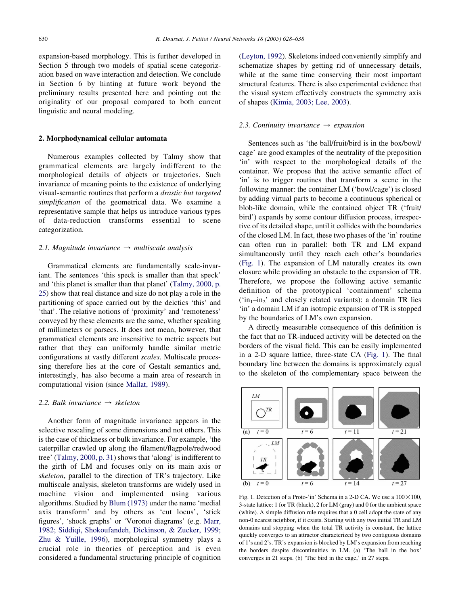<span id="page-2-0"></span>expansion-based morphology. This is further developed in Section 5 through two models of spatial scene categorization based on wave interaction and detection. We conclude in Section 6 by hinting at future work beyond the preliminary results presented here and pointing out the originality of our proposal compared to both current linguistic and neural modeling.

#### 2. Morphodynamical cellular automata

Numerous examples collected by Talmy show that grammatical elements are largely indifferent to the morphological details of objects or trajectories. Such invariance of meaning points to the existence of underlying visual-semantic routines that perform a drastic but targeted simplification of the geometrical data. We examine a representative sample that helps us introduce various types of data-reduction transforms essential to scene categorization.

## 2.1. Magnitude invariance  $\rightarrow$  multiscale analysis

Grammatical elements are fundamentally scale-invariant. The sentences 'this speck is smaller than that speck' and 'this planet is smaller than that planet' [\(Talmy, 2000, p.](#page-10-0) [25\)](#page-10-0) show that real distance and size do not play a role in the partitioning of space carried out by the deictics 'this' and 'that'. The relative notions of 'proximity' and 'remoteness' conveyed by these elements are the same, whether speaking of millimeters or parsecs. It does not mean, however, that grammatical elements are insensitive to metric aspects but rather that they can uniformly handle similar metric configurations at vastly different scales. Multiscale processing therefore lies at the core of Gestalt semantics and, interestingly, has also become a main area of research in computational vision (since [Mallat, 1989](#page-9-0)).

#### 2.2. Bulk invariance  $\rightarrow$  skeleton

Another form of magnitude invariance appears in the selective rescaling of some dimensions and not others. This is the case of thickness or bulk invariance. For example, 'the caterpillar crawled up along the filament/flagpole/redwood tree' [\(Talmy, 2000, p. 31](#page-10-0)) shows that 'along' is indifferent to the girth of LM and focuses only on its main axis or skeleton, parallel to the direction of TR's trajectory. Like multiscale analysis, skeleton transforms are widely used in machine vision and implemented using various algorithms. Studied by [Blum \(1973\)](#page-9-0) under the name 'medial axis transform' and by others as 'cut locus', 'stick figures', 'shock graphs' or 'Voronoi diagrams' (e.g. [Marr,](#page-9-0) [1982; Siddiqi, Shokoufandeh, Dickinson, & Zucker, 1999;](#page-9-0) [Zhu & Yuille, 1996](#page-9-0)), morphological symmetry plays a crucial role in theories of perception and is even considered a fundamental structuring principle of cognition

([Leyton, 1992](#page-9-0)). Skeletons indeed conveniently simplify and schematize shapes by getting rid of unnecessary details, while at the same time conserving their most important structural features. There is also experimental evidence that the visual system effectively constructs the symmetry axis of shapes ([Kimia, 2003; Lee, 2003\)](#page-9-0).

## 2.3. Continuity invariance  $\rightarrow$  expansion

Sentences such as 'the ball/fruit/bird is in the box/bowl/ cage' are good examples of the neutrality of the preposition 'in' with respect to the morphological details of the container. We propose that the active semantic effect of 'in' is to trigger routines that transform a scene in the following manner: the container LM ('bowl/cage') is closed by adding virtual parts to become a continuous spherical or blob-like domain, while the contained object TR ('fruit/ bird') expands by some contour diffusion process, irrespective of its detailed shape, until it collides with the boundaries of the closed LM. In fact, these two phases of the 'in' routine can often run in parallel: both TR and LM expand simultaneously until they reach each other's boundaries (Fig. 1). The expansion of LM naturally creates its own closure while providing an obstacle to the expansion of TR. Therefore, we propose the following active semantic definition of the prototypical 'containment' schema  $(in_1$ –in<sub>2</sub>' and closely related variants): a domain TR lies 'in' a domain LM if an isotropic expansion of TR is stopped by the boundaries of LM's own expansion.

A directly measurable consequence of this definition is the fact that no TR-induced activity will be detected on the borders of the visual field. This can be easily implemented in a 2-D square lattice, three-state CA (Fig. 1). The final boundary line between the domains is approximately equal to the skeleton of the complementary space between the



Fig. 1. Detection of a Proto-'in' Schema in a 2-D CA. We use a  $100 \times 100$ , 3-state lattice: 1 for TR (black), 2 for LM (gray) and 0 for the ambient space (white). A simple diffusion rule requires that a 0 cell adopt the state of any non-0 nearest neighbor, if it exists. Starting with any two initial TR and LM domains and stopping when the total TR activity is constant, the lattice quickly converges to an attractor characterized by two contiguous domains of 1's and 2's. TR's expansion is blocked by LM's expansion from reaching the borders despite discontinuities in LM. (a) 'The ball in the box' converges in 21 steps. (b) 'The bird in the cage,' in 27 steps.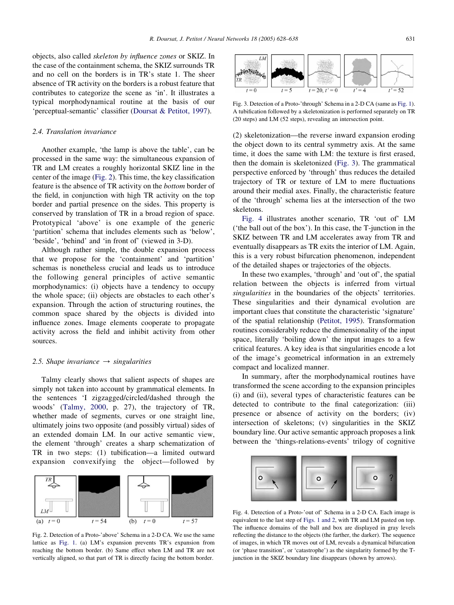<span id="page-3-0"></span>objects, also called skeleton by influence zones or SKIZ. In the case of the containment schema, the SKIZ surrounds TR and no cell on the borders is in TR's state 1. The sheer absence of TR activity on the borders is a robust feature that contributes to categorize the scene as 'in'. It illustrates a typical morphodynamical routine at the basis of our 'perceptual-semantic' classifier ([Doursat & Petitot, 1997\)](#page-9-0).

## 2.4. Translation invariance

Another example, 'the lamp is above the table', can be processed in the same way: the simultaneous expansion of TR and LM creates a roughly horizontal SKIZ line in the center of the image (Fig. 2). This time, the key classification feature is the absence of TR activity on the bottom border of the field, in conjunction with high TR activity on the top border and partial presence on the sides. This property is conserved by translation of TR in a broad region of space. Prototypical 'above' is one example of the generic 'partition' schema that includes elements such as 'below', 'beside', 'behind' and 'in front of' (viewed in 3-D).

Although rather simple, the double expansion process that we propose for the 'containment' and 'partition' schemas is nonetheless crucial and leads us to introduce the following general principles of active semantic morphodynamics: (i) objects have a tendency to occupy the whole space; (ii) objects are obstacles to each other's expansion. Through the action of structuring routines, the common space shared by the objects is divided into influence zones. Image elements cooperate to propagate activity across the field and inhibit activity from other sources.

## 2.5. Shape invariance  $\rightarrow$  singularities

Talmy clearly shows that salient aspects of shapes are simply not taken into account by grammatical elements. In the sentences 'I zigzagged/circled/dashed through the woods' ([Talmy, 2000](#page-10-0), p. 27), the trajectory of TR, whether made of segments, curves or one straight line, ultimately joins two opposite (and possibly virtual) sides of an extended domain LM. In our active semantic view, the element 'through' creates a sharp schematization of TR in two steps: (1) tubification—a limited outward expansion convexifying the object—followed by



Fig. 2. Detection of a Proto-'above' Schema in a 2-D CA. We use the same lattice as [Fig. 1.](#page-2-0) (a) LM's expansion prevents TR's expansion from reaching the bottom border. (b) Same effect when LM and TR are not vertically aligned, so that part of TR is directly facing the bottom border.



Fig. 3. Detection of a Proto-'through' Schema in a 2-D CA (same as [Fig. 1](#page-2-0)). A tubification followed by a skeletonization is performed separately on TR (20 steps) and LM (52 steps), revealing an intersection point.

(2) skeletonization—the reverse inward expansion eroding the object down to its central symmetry axis. At the same time, it does the same with LM: the texture is first erased, then the domain is skeletonized (Fig. 3). The grammatical perspective enforced by 'through' thus reduces the detailed trajectory of TR or texture of LM to mere fluctuations around their medial axes. Finally, the characteristic feature of the 'through' schema lies at the intersection of the two skeletons.

Fig. 4 illustrates another scenario, TR 'out of' LM ('the ball out of the box'). In this case, the T-junction in the SKIZ between TR and LM accelerates away from TR and eventually disappears as TR exits the interior of LM. Again, this is a very robust bifurcation phenomenon, independent of the detailed shapes or trajectories of the objects.

In these two examples, 'through' and 'out of', the spatial relation between the objects is inferred from virtual singularities in the boundaries of the objects' territories. These singularities and their dynamical evolution are important clues that constitute the characteristic 'signature' of the spatial relationship ([Petitot, 1995](#page-9-0)). Transformation routines considerably reduce the dimensionality of the input space, literally 'boiling down' the input images to a few critical features. A key idea is that singularities encode a lot of the image's geometrical information in an extremely compact and localized manner.

In summary, after the morphodynamical routines have transformed the scene according to the expansion principles (i) and (ii), several types of characteristic features can be detected to contribute to the final categorization: (iii) presence or absence of activity on the borders; (iv) intersection of skeletons; (v) singularities in the SKIZ boundary line. Our active semantic approach proposes a link between the 'things-relations-events' trilogy of cognitive



Fig. 4. Detection of a Proto-'out of' Schema in a 2-D CA. Each image is equivalent to the last step of [Figs. 1 and 2,](#page-2-0) with TR and LM pasted on top. The influence domains of the ball and box are displayed in gray levels reflecting the distance to the objects (the farther, the darker). The sequence of images, in which TR moves out of LM, reveals a dynamical bifurcation (or 'phase transition', or 'catastrophe') as the singularity formed by the Tjunction in the SKIZ boundary line disappears (shown by arrows).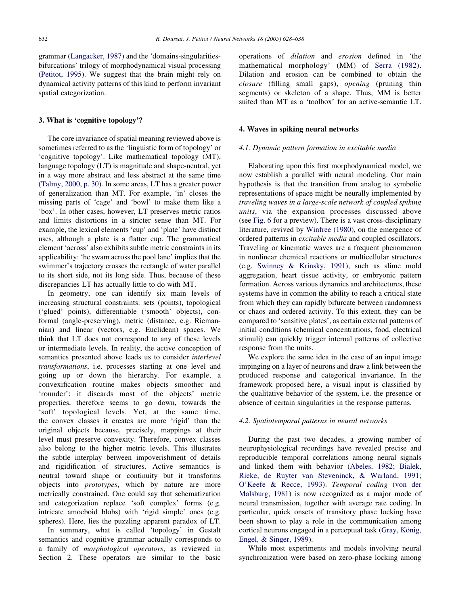grammar ([Langacker, 1987\)](#page-9-0) and the 'domains-singularitiesbifurcations' trilogy of morphodynamical visual processing ([Petitot, 1995](#page-9-0)). We suggest that the brain might rely on dynamical activity patterns of this kind to perform invariant spatial categorization.

## 3. What is 'cognitive topology'?

The core invariance of spatial meaning reviewed above is sometimes referred to as the 'linguistic form of topology' or 'cognitive topology'. Like mathematical topology (MT), language topology (LT) is magnitude and shape-neutral, yet in a way more abstract and less abstract at the same time ([Talmy, 2000, p. 30\)](#page-10-0). In some areas, LT has a greater power of generalization than MT. For example, 'in' closes the missing parts of 'cage' and 'bowl' to make them like a 'box'. In other cases, however, LT preserves metric ratios and limits distortions in a stricter sense than MT. For example, the lexical elements 'cup' and 'plate' have distinct uses, although a plate is a flatter cup. The grammatical element 'across' also exhibits subtle metric constraints in its applicability: 'he swam across the pool lane' implies that the swimmer's trajectory crosses the rectangle of water parallel to its short side, not its long side. Thus, because of these discrepancies LT has actually little to do with MT.

In geometry, one can identify six main levels of increasing structural constraints: sets (points), topological ('glued' points), differentiable ('smooth' objects), conformal (angle-preserving), metric (distance, e.g. Riemannian) and linear (vectors, e.g. Euclidean) spaces. We think that LT does not correspond to any of these levels or intermediate levels. In reality, the active conception of semantics presented above leads us to consider interlevel transformations, i.e. processes starting at one level and going up or down the hierarchy. For example, a convexification routine makes objects smoother and 'rounder': it discards most of the objects' metric properties, therefore seems to go down, towards the 'soft' topological levels. Yet, at the same time, the convex classes it creates are more 'rigid' than the original objects because, precisely, mappings at their level must preserve convexity. Therefore, convex classes also belong to the higher metric levels. This illustrates the subtle interplay between impoverishment of details and rigidification of structures. Active semantics is neutral toward shape or continuity but it transforms objects into prototypes, which by nature are more metrically constrained. One could say that schematization and categorization replace 'soft complex' forms (e.g. intricate amoeboid blobs) with 'rigid simple' ones (e.g. spheres). Here, lies the puzzling apparent paradox of LT.

In summary, what is called 'topology' in Gestalt semantics and cognitive grammar actually corresponds to a family of morphological operators, as reviewed in Section 2. These operators are similar to the basic

operations of dilation and erosion defined in 'the mathematical morphology' (MM) of [Serra \(1982\)](#page-10-0). Dilation and erosion can be combined to obtain the closure (filling small gaps), opening (pruning thin segments) or skeleton of a shape. Thus, MM is better suited than MT as a 'toolbox' for an active-semantic LT.

## 4. Waves in spiking neural networks

#### 4.1. Dynamic pattern formation in excitable media

Elaborating upon this first morphodynamical model, we now establish a parallel with neural modeling. Our main hypothesis is that the transition from analog to symbolic representations of space might be neurally implemented by traveling waves in a large-scale network of coupled spiking units, via the expansion processes discussed above (see [Fig. 6](#page-5-0) for a preview). There is a vast cross-disciplinary literature, revived by [Winfree \(1980\)](#page-10-0), on the emergence of ordered patterns in excitable media and coupled oscillators. Traveling or kinematic waves are a frequent phenomenon in nonlinear chemical reactions or multicellular structures (e.g. [Swinney & Krinsky, 1991](#page-10-0)), such as slime mold aggregation, heart tissue activity, or embryonic pattern formation. Across various dynamics and architectures, these systems have in common the ability to reach a critical state from which they can rapidly bifurcate between randomness or chaos and ordered activity. To this extent, they can be compared to 'sensitive plates', as certain external patterns of initial conditions (chemical concentrations, food, electrical stimuli) can quickly trigger internal patterns of collective response from the units.

We explore the same idea in the case of an input image impinging on a layer of neurons and draw a link between the produced response and categorical invariance. In the framework proposed here, a visual input is classified by the qualitative behavior of the system, i.e. the presence or absence of certain singularities in the response patterns.

### 4.2. Spatiotemporal patterns in neural networks

During the past two decades, a growing number of neurophysiological recordings have revealed precise and reproducible temporal correlations among neural signals and linked them with behavior [\(Abeles, 1982; Bialek,](#page-9-0) [Rieke, de Ruyter van Steveninck, & Warland, 1991;](#page-9-0) [O'Keefe & Recce, 1993](#page-9-0)). Temporal coding [\(von der](#page-10-0) [Malsburg, 1981\)](#page-10-0) is now recognized as a major mode of neural transmission, together with average rate coding. In particular, quick onsets of transitory phase locking have been shown to play a role in the communication among cortical neurons engaged in a perceptual task (Gray, König, [Engel, & Singer, 1989\)](#page-9-0).

While most experiments and models involving neural synchronization were based on zero-phase locking among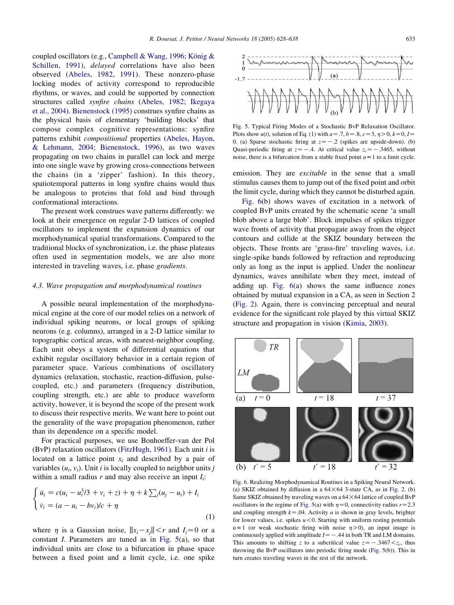<span id="page-5-0"></span>coupled oscillators (e.g., Campbell & Wang, 1996; König & [Schillen, 1991](#page-9-0)), delayed correlations have also been observed ([Abeles, 1982, 1991\)](#page-9-0). These nonzero-phase locking modes of activity correspond to reproducible rhythms, or waves, and could be supported by connection structures called synfire chains [\(Abeles, 1982; Ikegaya](#page-9-0) [et al., 2004\)](#page-9-0). [Bienenstock \(1995\)](#page-9-0) construes synfire chains as the physical basis of elementary 'building blocks' that compose complex cognitive representations: synfire patterns exhibit compositional properties [\(Abeles, Hayon,](#page-9-0) [& Lehmann, 2004; Bienenstock, 1996](#page-9-0)), as two waves propagating on two chains in parallel can lock and merge into one single wave by growing cross-connections between the chains (in a 'zipper' fashion). In this theory, spatiotemporal patterns in long synfire chains would thus be analogous to proteins that fold and bind through conformational interactions.

The present work construes wave patterns differently: we look at their emergence on regular 2-D lattices of coupled oscillators to implement the expansion dynamics of our morphodynamical spatial transformations. Compared to the traditional blocks of synchronization, i.e. the phase plateaus often used in segmentation models, we are also more interested in traveling waves, i.e. phase gradients.

## 4.3. Wave propagation and morphodynamical routines

A possible neural implementation of the morphodynamical engine at the core of our model relies on a network of individual spiking neurons, or local groups of spiking neurons (e.g. columns), arranged in a 2-D lattice similar to topographic cortical areas, with nearest-neighbor coupling. Each unit obeys a system of differential equations that exhibit regular oscillatory behavior in a certain region of parameter space. Various combinations of oscillatory dynamics (relaxation, stochastic, reaction-diffusion, pulsecoupled, etc.) and parameters (frequency distribution, coupling strength, etc.) are able to produce waveform activity, however, it is beyond the scope of the present work to discuss their respective merits. We want here to point out the generality of the wave propagation phenomenon, rather than its dependence on a specific model.

For practical purposes, we use Bonhoeffer-van der Pol (BvP) relaxation oscillators [\(FitzHugh, 1961\)](#page-9-0). Each unit  $i$  is located on a lattice point  $x_i$  and described by a pair of variables  $(u_i, v_i)$ . Unit *i* is locally coupled to neighbor units *j* within a small radius  $r$  and may also receive an input  $I_i$ :

$$
\begin{cases} \n\dot{u}_i = c(u_i - u_i^3/3 + v_i + z) + \eta + k \sum_j (u_j - u_i) + I_i \\
\dot{v}_i = (a - u_i - bv_i)/c + \eta\n\end{cases}
$$
\n(1)

where  $\eta$  is a Gaussian noise,  $||x_i - x_j|| < r$  and  $I_i = 0$  or a constant I. Parameters are tuned as in Fig. 5(a), so that individual units are close to a bifurcation in phase space between a fixed point and a limit cycle, i.e. one spike



Fig. 5. Typical Firing Modes of a Stochastic BvP Relaxation Oscillator. Plots show  $u(t)$ , solution of Eq. (1) with  $a = 0.7$ ,  $b = 0.8$ ,  $c = 3$ ,  $\eta > 0$ ,  $k = 0$ ,  $I =$ 0. (a) Sparse stochastic firing at  $z=-.2$  (spikes are upside-down). (b) Quasi-periodic firing at  $z=-.4$ . At critical value  $z_c=-.3465$ , without noise, there is a bifurcation from a stable fixed point  $u \approx 1$  to a limit cycle.

emission. They are excitable in the sense that a small stimulus causes them to jump out of the fixed point and orbit the limit cycle, during which they cannot be disturbed again.

Fig. 6(b) shows waves of excitation in a network of coupled BvP units created by the schematic scene 'a small blob above a large blob'. Block impulses of spikes trigger wave fronts of activity that propagate away from the object contours and collide at the SKIZ boundary between the objects. These fronts are 'grass-fire' traveling waves, i.e. single-spike bands followed by refraction and reproducing only as long as the input is applied. Under the nonlinear dynamics, waves annihilate when they meet, instead of adding up. Fig. 6(a) shows the same influence zones obtained by mutual expansion in a CA, as seen in Section 2 ([Fig. 2](#page-3-0)). Again, there is convincing perceptual and neural evidence for the significant role played by this virtual SKIZ structure and propagation in vision [\(Kimia, 2003\)](#page-9-0).



Fig. 6. Realizing Morphodynamical Routines in a Spiking Neural Network. (a) SKIZ obtained by diffusion in a  $64 \times 64$  3-state CA, as in [Fig. 2](#page-3-0). (b) Same SKIZ obtained by traveling waves on a  $64 \times 64$  lattice of coupled BvP oscillators in the regime of Fig. 5(a) with  $\eta=0$ , connectivity radius  $r=2.3$ and coupling strength  $k=0.04$ . Activity u is shown in gray levels, brighter for lower values, i.e. spikes  $u < 0$ . Starting with uniform resting potentials  $u \approx 1$  (or weak stochastic firing with noise  $\eta > 0$ ), an input image is continuously applied with amplitude  $I = -0.44$  in both TR and LM domains. This amounts to shifting z to a subcritical value  $z = -0.3467 < z_c$ , thus throwing the BvP oscillators into periodic firing mode (Fig. 5(b)). This in turn creates traveling waves in the rest of the network.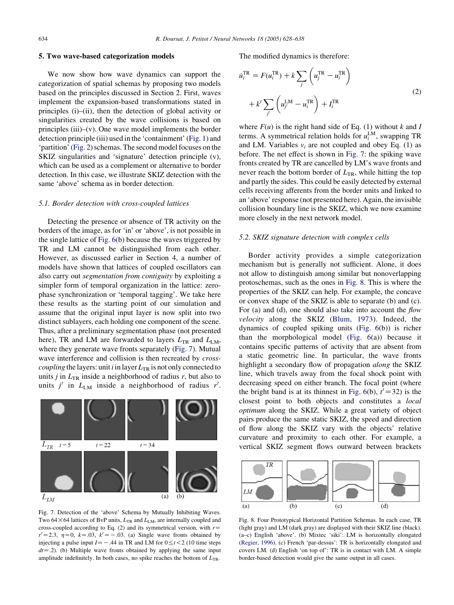## <span id="page-6-0"></span>5. Two wave-based categorization models

We now show how wave dynamics can support the categorization of spatial schemas by proposing two models based on the principles discussed in Section 2. First, waves implement the expansion-based transformations stated in principles (i)–(ii), then the detection of global activity or singularities created by the wave collisions is based on principles  $(iii)$ – $(v)$ . One wave model implements the border detection principle (iii) used in the 'containment' ([Fig. 1](#page-2-0)) and 'partition' [\(Fig. 2\)](#page-3-0) schemas. The second model focuses on the SKIZ singularities and 'signature' detection principle (v), which can be used as a complement or alternative to border detection. In this case, we illustrate SKIZ detection with the same 'above' schema as in border detection.

#### 5.1. Border detection with cross-coupled lattices

Detecting the presence or absence of TR activity on the borders of the image, as for 'in' or 'above', is not possible in the single lattice of [Fig. 6\(](#page-5-0)b) because the waves triggered by TR and LM cannot be distinguished from each other. However, as discussed earlier in Section 4, a number of models have shown that lattices of coupled oscillators can also carry out segmentation from contiguity by exploiting a simpler form of temporal organization in the lattice: zerophase synchronization or 'temporal tagging'. We take here these results as the starting point of our simulation and assume that the original input layer is now split into two distinct sublayers, each holding one component of the scene. Thus, after a preliminary segmentation phase (not presented here), TR and LM are forwarded to layers  $L_{TR}$  and  $L_{LM}$ , where they generate wave fronts separately (Fig. 7). Mutual wave interference and collision is then recreated by *crosscoupling* the layers: unit *i* in layer  $L_{TR}$  is not only connected to units *j* in  $L_{TR}$  inside a neighborhood of radius *r*, but also to units  $j'$  in  $L_{LM}$  inside a neighborhood of radius r'.



Fig. 7. Detection of the 'above' Schema by Mutually Inhibiting Waves. Two 64  $\times$  64 lattices of BvP units,  $L_{TR}$  and  $L_{LM}$ , are internally coupled and cross-coupled according to Eq. (2) and its symmetrical version, with  $r=$  $r' = 2.3$ ,  $\eta = 0$ ,  $k = .03$ ,  $k' = -.03$ . (a) Single wave fronts obtained by injecting a pulse input  $I = -.44$  in TR and LM for  $0 \le t < 2$  (10 time steps  $dt = 0.2$ . (b) Multiple wave fronts obtained by applying the same input amplitude indefinitely. In both cases, no spike reaches the bottom of  $L_{TR}$ .

The modified dynamics is therefore:

$$
\dot{u}_i^{\text{TR}} = F(u_i^{\text{TR}}) + k \sum_j \left( u_j^{\text{TR}} - u_i^{\text{TR}} \right)
$$
  
+ 
$$
k' \sum_{j'} \left( u_{j'}^{\text{LM}} - u_i^{\text{TR}} \right) + I_i^{\text{TR}}
$$
 (2)

where  $F(u)$  is the right hand side of Eq. (1) without k and I terms. A symmetrical relation holds for  $u_i^{\text{LM}}$ , swapping TR and LM. Variables  $v_i$  are not coupled and obey Eq. (1) as before. The net effect is shown in Fig. 7: the spiking wave fronts created by TR are cancelled by LM's wave fronts and never reach the bottom border of  $L_{TR}$ , while hitting the top and partly the sides. This could be easily detected by external cells receiving afferents from the border units and linked to an 'above' response (not presented here). Again, the invisible collision boundary line is the SKIZ, which we now examine more closely in the next network model.

#### 5.2. SKIZ signature detection with complex cells

Border activity provides a simple categorization mechanism but is generally not sufficient. Alone, it does not allow to distinguish among similar but nonoverlapping protoschemas, such as the ones in Fig. 8. This is where the properties of the SKIZ can help. For example, the concave or convex shape of the SKIZ is able to separate (b) and (c). For (a) and (d), one should also take into account the *flow* velocity along the SKIZ ([Blum, 1973](#page-9-0)). Indeed, the dynamics of coupled spiking units ([Fig. 6](#page-5-0)(b)) is richer than the morphological model (Fig.  $6(a)$ ) because it contains specific patterns of activity that are absent from a static geometric line. In particular, the wave fronts highlight a secondary flow of propagation along the SKIZ line, which travels away from the focal shock point with decreasing speed on either branch. The focal point (where the bright band is at its thinnest in [Fig. 6](#page-5-0)(b),  $t' = 32$ ) is the closest point to both objects and constitutes a local optimum along the SKIZ. While a great variety of object pairs produce the same static SKIZ, the speed and direction of flow along the SKIZ vary with the objects' relative curvature and proximity to each other. For example, a vertical SKIZ segment flows outward between brackets



Fig. 8. Four Prototypical Horizontal Partition Schemas. In each case, TR (light gray) and LM (dark gray) are displayed with their SKIZ line (black). (a–c) English 'above'. (b) Mixtec 'siki': LM is horizontally elongated [\(Regier, 1996](#page-10-0)). (c) French 'par-dessus': TR is horizontally elongated and covers LM. (d) English 'on top of': TR is in contact with LM. A simple border-based detection would give the same output in all cases.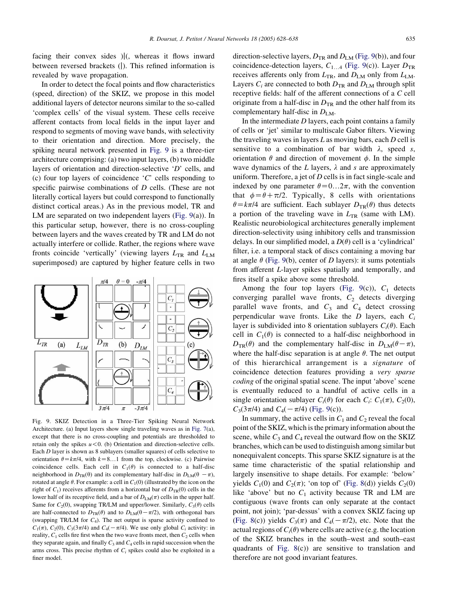facing their convex sides  $\vert$ , whereas it flows inward between reversed brackets (1). This refined information is revealed by wave propagation.

In order to detect the focal points and flow characteristics (speed, direction) of the SKIZ, we propose in this model additional layers of detector neurons similar to the so-called 'complex cells' of the visual system. These cells receive afferent contacts from local fields in the input layer and respond to segments of moving wave bands, with selectivity to their orientation and direction. More precisely, the spiking neural network presented in Fig. 9 is a three-tier architecture comprising: (a) two input layers, (b) two middle layers of orientation and direction-selective 'D' cells, and (c) four top layers of coincidence 'C' cells responding to specific pairwise combinations of D cells. (These are not literally cortical layers but could correspond to functionally distinct cortical areas.) As in the previous model, TR and LM are separated on two independent layers (Fig. 9(a)). In this particular setup, however, there is no cross-coupling between layers and the waves created by TR and LM do not actually interfere or collide. Rather, the regions where wave fronts coincide 'vertically' (viewing layers  $L_{TR}$  and  $L_{LM}$ superimposed) are captured by higher feature cells in two



Fig. 9. SKIZ Detection in a Three-Tier Spiking Neural Network Architecture. (a) Input layers show single traveling waves as in [Fig. 7\(](#page-6-0)a), except that there is no cross-coupling and potentials are thresholded to retain only the spikes  $u \le 0$ . (b) Orientation and direction-selective cells. Each D layer is shown as 8 sublayers (smaller squares) of cells selective to orientation  $\theta = k\pi/4$ , with  $k=8...1$  from the top, clockwise. (c) Pairwise coincidence cells. Each cell in  $C_1(\theta)$  is connected to a half-disc neighborhood in  $D_{TR}(\theta)$  and its complementary half-disc in  $D_{LM}(\theta - \pi)$ , rotated at angle  $\theta$ . For example: a cell in  $C_1(0)$  (illustrated by the icon on the right of  $C_1$ ) receives afferents from a horizontal bar of  $D_{TR}(0)$  cells in the lower half of its receptive field, and a bar of  $D_{LM}(\pi)$  cells in the upper half. Same for  $C_2(0)$ , swapping TR/LM and upper/lower. Similarly,  $C_3(\theta)$  cells are half-connected to  $D_{TR}(\theta)$  and to  $D_{LM}(\theta - \pi/2)$ , with orthogonal bars (swapping TR/LM for  $C_4$ ). The net output is sparse activity confined to  $C_1(\pi)$ ,  $C_2(0)$ ,  $C_3(3\pi/4)$  and  $C_4(-\pi/4)$ . We use only global  $C_i$  activity: in reality,  $C_1$  cells fire first when the two wave fronts meet, then  $C_2$  cells when they separate again, and finally  $C_3$  and  $C_4$  cells in rapid succession when the arms cross. This precise rhythm of  $C_i$  spikes could also be exploited in a finer model.

direction-selective layers,  $D_{TR}$  and  $D_{LM}$  (Fig. 9(b)), and four coincidence-detection layers,  $C_{1-4}$  (Fig. 9(c)). Layer  $D_{TR}$ receives afferents only from  $L_{TR}$ , and  $D_{LM}$  only from  $L_{LM}$ . Layers  $C_i$  are connected to both  $D_{TR}$  and  $D_{LM}$  through split receptive fields: half of the afferent connections of a C cell originate from a half-disc in  $D_{TR}$  and the other half from its complementary half-disc in  $D_{LM}$ .

In the intermediate  $D$  layers, each point contains a family of cells or 'jet' similar to multiscale Gabor filters. Viewing the traveling waves in layers  $L$  as moving bars, each  $D$  cell is sensitive to a combination of bar width  $\lambda$ , speed s, orientation  $\theta$  and direction of movement  $\phi$ . In the simple wave dynamics of the L layers,  $\lambda$  and s are approximately uniform. Therefore, a jet of  $D$  cells is in fact single-scale and indexed by one parameter  $\theta=0...2\pi$ , with the convention that  $\phi = \theta + \pi/2$ . Typically, 8 cells with orientations  $\theta = k\pi/4$  are sufficient. Each sublayer  $D_{TR}(\theta)$  thus detects a portion of the traveling wave in  $L_{TR}$  (same with LM). Realistic neurobiological architectures generally implement direction-selectivity using inhibitory cells and transmission delays. In our simplified model, a  $D(\theta)$  cell is a 'cylindrical' filter, i.e. a temporal stack of discs containing a moving bar at angle  $\theta$  (Fig. 9(b), center of D layers): it sums potentials from afferent L-layer spikes spatially and temporally, and fires itself a spike above some threshold.

Among the four top layers (Fig. 9(c)),  $C_1$  detects converging parallel wave fronts,  $C_2$  detects diverging parallel wave fronts, and  $C_3$  and  $C_4$  detect crossing perpendicular wave fronts. Like the  $D$  layers, each  $C_i$ layer is subdivided into 8 orientation sublayers  $C_i(\theta)$ . Each cell in  $C_1(\theta)$  is connected to a half-disc neighborhood in  $D_{TR}(\theta)$  and the complementary half-disc in  $D_{LM}(\theta-\pi)$ , where the half-disc separation is at angle  $\theta$ . The net output of this hierarchical arrangement is a signature of coincidence detection features providing a very sparse coding of the original spatial scene. The input 'above' scene is eventually reduced to a handful of active cells in a single orientation sublayer  $C_i(\theta)$  for each  $C_i$ :  $C_1(\pi)$ ,  $C_2(0)$ ,  $C_3(3\pi/4)$  and  $C_4(-\pi/4)$  (Fig. 9(c)).

In summary, the active cells in  $C_1$  and  $C_2$  reveal the focal point of the SKIZ, which is the primary information about the scene, while  $C_3$  and  $C_4$  reveal the outward flow on the SKIZ branches, which can be used to distinguish among similar but nonequivalent concepts. This sparse SKIZ signature is at the same time characteristic of the spatial relationship and largely insensitive to shape details. For example: 'below' yields  $C_1(0)$  and  $C_2(\pi)$ ; 'on top of' ([Fig. 8\(](#page-6-0)d)) yields  $C_2(0)$ like 'above' but no  $C_1$  activity because TR and LM are contiguous (wave fronts can only separate at the contact point, not join); 'par-dessus' with a convex SKIZ facing up ([Fig. 8](#page-6-0)(c)) yields  $C_3(\pi)$  and  $C_4(-\pi/2)$ , etc. Note that the actual regions of  $C_i(\theta)$  where cells are active (e.g. the location of the SKIZ branches in the south–west and south–east quadrants of [Fig. 8](#page-6-0)(c)) are sensitive to translation and therefore are not good invariant features.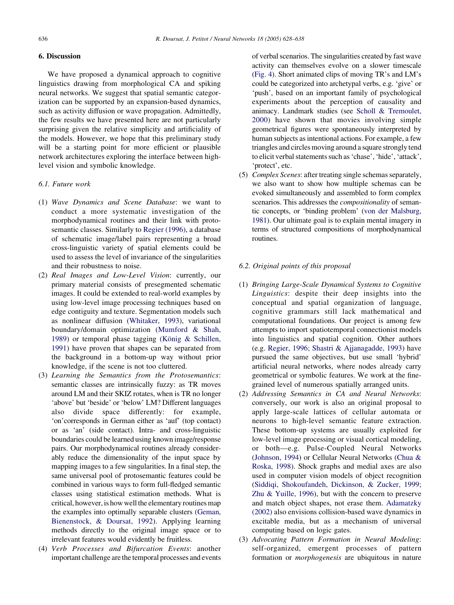## 6. Discussion

We have proposed a dynamical approach to cognitive linguistics drawing from morphological CA and spiking neural networks. We suggest that spatial semantic categorization can be supported by an expansion-based dynamics, such as activity diffusion or wave propagation. Admittedly, the few results we have presented here are not particularly surprising given the relative simplicity and artificiality of the models. However, we hope that this preliminary study will be a starting point for more efficient or plausible network architectures exploring the interface between highlevel vision and symbolic knowledge.

# 6.1. Future work

- (1) Wave Dynamics and Scene Database: we want to conduct a more systematic investigation of the morphodynamical routines and their link with protosemantic classes. Similarly to [Regier \(1996\),](#page-10-0) a database of schematic image/label pairs representing a broad cross-linguistic variety of spatial elements could be used to assess the level of invariance of the singularities and their robustness to noise.
- (2) Real Images and Low-Level Vision: currently, our primary material consists of presegmented schematic images. It could be extended to real-world examples by using low-level image processing techniques based on edge contiguity and texture. Segmentation models such as nonlinear diffusion ([Whitaker, 1993](#page-10-0)), variational boundary/domain optimization [\(Mumford & Shah,](#page-9-0) [1989\)](#page-9-0) or temporal phase tagging (König & Schillen, [1991\)](#page-9-0) have proven that shapes can be separated from the background in a bottom-up way without prior knowledge, if the scene is not too cluttered.
- (3) Learning the Semantics from the Protosemantics: semantic classes are intrinsically fuzzy: as TR moves around LM and their SKIZ rotates, when is TR no longer 'above' but 'beside' or 'below' LM? Different languages also divide space differently: for example, 'on'corresponds in German either as 'auf' (top contact) or as 'an' (side contact). Intra- and cross-linguistic boundaries could be learned using known image/response pairs. Our morphodynamical routines already considerably reduce the dimensionality of the input space by mapping images to a few singularities. In a final step, the same universal pool of protosemantic features could be combined in various ways to form full-fledged semantic classes using statistical estimation methods. What is critical, however, is how well the elementary routines map the examples into optimally separable clusters ([Geman,](#page-9-0) [Bienenstock, & Doursat, 1992\)](#page-9-0). Applying learning methods directly to the original image space or to irrelevant features would evidently be fruitless.
- (4) Verb Processes and Bifurcation Events: another important challenge are the temporal processes and events

of verbal scenarios. The singularities created by fast wave activity can themselves evolve on a slower timescale ([Fig. 4\)](#page-3-0). Short animated clips of moving TR's and LM's could be categorized into archetypal verbs, e.g. 'give' or 'push', based on an important family of psychological experiments about the perception of causality and animacy. Landmark studies (see [Scholl & Tremoulet,](#page-10-0) [2000](#page-10-0)) have shown that movies involving simple geometrical figures were spontaneously interpreted by human subjects as intentional actions. For example, a few triangles and circles moving around a square strongly tend to elicit verbal statements such as 'chase', 'hide', 'attack', 'protect', etc.

(5) Complex Scenes: after treating single schemas separately, we also want to show how multiple schemas can be evoked simultaneously and assembled to form complex scenarios. This addresses the *compositionality* of semantic concepts, or 'binding problem' ([von der Malsburg,](#page-10-0) [1981](#page-10-0)). Our ultimate goal is to explain mental imagery in terms of structured compositions of morphodynamical routines.

## 6.2. Original points of this proposal

- (1) Bringing Large-Scale Dynamical Systems to Cognitive Linguistics: despite their deep insights into the conceptual and spatial organization of language, cognitive grammars still lack mathematical and computational foundations. Our project is among few attempts to import spatiotemporal connectionist models into linguistics and spatial cognition. Other authors (e.g. [Regier, 1996; Shastri & Ajjanagadde, 1993](#page-10-0)) have pursued the same objectives, but use small 'hybrid' artificial neural networks, where nodes already carry geometrical or symbolic features. We work at the finegrained level of numerous spatially arranged units.
- (2) Addressing Semantics in CA and Neural Networks: conversely, our work is also an original proposal to apply large-scale lattices of cellular automata or neurons to high-level semantic feature extraction. These bottom-up systems are usually exploited for low-level image processing or visual cortical modeling, or both—e.g. Pulse-Coupled Neural Networks ([Johnson, 1994](#page-9-0)) or Cellular Neural Networks ([Chua &](#page-9-0) [Roska, 1998\)](#page-9-0). Shock graphs and medial axes are also used in computer vision models of object recognition ([Siddiqi, Shokoufandeh, Dickinson, & Zucker, 1999;](#page-10-0) [Zhu & Yuille, 1996\)](#page-10-0), but with the concern to preserve and match object shapes, not erase them. [Adamatzky](#page-9-0) [\(2002\)](#page-9-0) also envisions collision-based wave dynamics in excitable media, but as a mechanism of universal computing based on logic gates.
- (3) Advocating Pattern Formation in Neural Modeling: self-organized, emergent processes of pattern formation or morphogenesis are ubiquitous in nature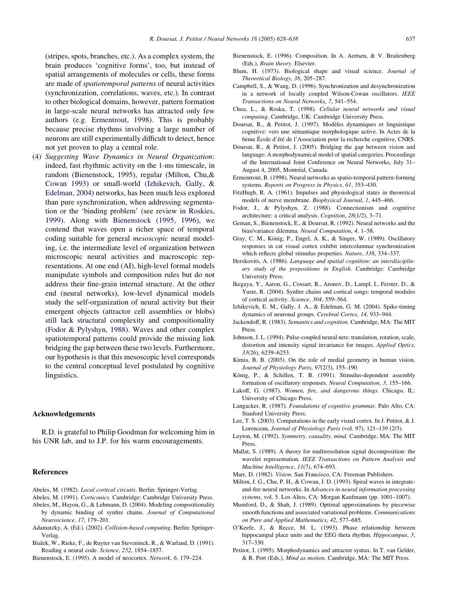<span id="page-9-0"></span>(stripes, spots, branches, etc.). As a complex system, the brain produces 'cognitive forms', too, but instead of spatial arrangements of molecules or cells, these forms are made of spatiotemporal patterns of neural activities (synchronization, correlations, waves, etc.). In contrast to other biological domains, however, pattern formation in large-scale neural networks has attracted only few authors (e.g. Ermentrout, 1998). This is probably because precise rhythms involving a large number of neurons are still experimentally difficult to detect, hence not yet proven to play a central role.

(4) Suggesting Wave Dynamics in Neural Organization: indeed, fast rhythmic activity on the 1-ms timescale, in random (Bienenstock, 1995), regular (Milton, Chu,& Cowan 1993) or small-world (Izhikevich, Gally, & Edelman, 2004) networks, has been much less explored than pure synchronization, when addressing segmentation or the 'binding problem' (see review in [Roskies,](#page-10-0) [1999\)](#page-10-0). Along with Bienenstock (1995, 1996), we contend that waves open a richer space of temporal coding suitable for general mesoscopic neural modeling, i.e. the intermediate level of organization between microscopic neural activities and macroscopic representations. At one end (AI), high-level formal models manipulate symbols and composition rules but do not address their fine-grain internal structure. At the other end (neural networks), low-level dynamical models study the self-organization of neural activity but their emergent objects (attractor cell assemblies or blobs) still lack structural complexity and compositionality (Fodor & Pylyshyn, 1988). Waves and other complex spatiotemporal patterns could provide the missing link bridging the gap between these two levels. Furthermore, our hypothesis is that this mesoscopic level corresponds to the central conceptual level postulated by cognitive linguistics.

## Acknowledgements

R.D. is grateful to Philip Goodman for welcoming him in his UNR lab, and to J.P. for his warm encouragements.

## References

- Abeles, M. (1982). Local cortical circuits. Berlin: Springer-Verlag.
- Abeles, M. (1991). Corticonics. Cambridge: Cambridge University Press. Abeles, M., Hayon, G., & Lehmann, D. (2004). Modeling compositionality
- by dynamic binding of synfire chains. Journal of Computational Neuroscience, 17, 179–201.
- Adamatzky, A. (Ed.). (2002). Collision-based computing. Berlin: Springer-Verlag.
- Bialek, W., Rieke, F., de Ruyter van Steveninck, R., & Warland, D. (1991). Reading a neural code. Science, 252, 1854–1857.
- Bienenstock, E. (1995). A model of neocortex. Network, 6, 179–224.
- Bienenstock, E. (1996). Composition. In A. Aertsen, & V. Braitenberg (Eds.), Brain theory. Elsevier.
- Blum, H. (1973). Biological shape and visual science. Journal of Theoretical Biology, 38, 205–287.
- Campbell, S., & Wang, D. (1996). Synchronization and desynchronization in a network of locally coupled Wilson-Cowan oscillators. IEEE Transactions on Neural Networks, 7, 541–554.
- Chua, L., & Roska, T. (1998). Cellular neural networks and visual computing. Cambridge, UK: Cambridge University Press.
- Doursat, R., & Petitot, J. (1997). Modèles dynamiques et linguistique cognitive: vers une sémantique morphologique active. In Actes de la 6ème École d'été de l'Association pour la recherche cognitive, CNRS.
- Doursat, R., & Petitot, J. (2005). Bridging the gap between vision and language: A morphodynamical model of spatial categories. Proceedings of the International Joint Conference on Neural Networks, July 31– August 4, 2005, Montréal, Canada.
- Ermentrout, B. (1998). Neural networks as spatio-temporal pattern-forming systems. Reports on Progress in Physics, 61, 353–430.
- FitzHugh, R. A. (1961). Impulses and physiological states in theoretical models of nerve membrane. Biophysical Journal, 1, 445–466.
- Fodor, J., & Pylyshyn, Z. (1988). Connectionism and cognitive architecture: a critical analysis. Cognition, 28(1/2), 3–71.
- Geman, S., Bienenstock, E., & Doursat, R. (1992). Neural networks and the bias/variance dilemma. Neural Computation, 4, 1–58.
- Gray, C. M., König, P., Engel, A. K., & Singer, W. (1989). Oscillatory responses in cat visual cortex exhibit intercolumnar synchronization which reflects global stimulus properties. Nature, 338, 334–337.
- Herskovits, A. (1986). Language and spatial cognition: an interdisciplinary study of the prepositions in English. Cambridge: Cambridge University Press.
- Ikegaya, Y., Aaron, G., Cossart, R., Aronov, D., Lampl, I., Ferster, D., & Yuste, R. (2004). Synfire chains and cortical songs: temporal modules of cortical activity. Science, 304, 559–564.
- Izhikevich, E. M., Gally, J. A., & Edelman, G. M. (2004). Spike-timing dynamics of neuronal groups. Cerebral Cortex, 14, 933–944.
- Jackendoff, R. (1983). Semantics and cognition. Cambridge, MA: The MIT Press.
- Johnson, J. L. (1994). Pulse-coupled neural nets: translation, rotation, scale, distortion and intensity signal invariance for images. Applied Optics, 33(26), 6239–6253.
- Kimia, B. B. (2003). On the role of medial geometry in human vision. Journal of Physiology Paris, 97(2/3), 155–190.
- König, P., & Schillen, T. B. (1991). Stimulus-dependent assembly formation of oscillatory responses. Neural Computation, 3, 155–166.
- Lakoff, G. (1987). Women, fire, and dangerous things. Chicago, IL: University of Chicago Press.
- Langacker, R. (1987). Foundations of cognitive grammar. Palo Alto, CA: Stanford University Press.
- Lee, T. S. (2003). Computations in the early visual cortex. In J. Petitot, & J. Lorenceau, Journal of Physiology Paris (vol. 97), 121–139 (2/3).
- Leyton, M. (1992). Symmetry, causality, mind. Cambridge, MA: The MIT Press.
- Mallat, S. (1989). A theory for multiresolution signal decomposition: the wavelet representation. IEEE Transactions on Pattern Analysis and Machine Intelligence, 11(7), 674–693.
- Marr, D. (1982). Vision. San Francisco, CA: Freeman Publishers.
- Milton, J. G., Chu, P. H., & Cowan, J. D. (1993). Spiral waves in integrateand-fire neural networks. In Advances in neural information processing systems, vol. 5. Los Altos, CA: Morgan Kaufmann (pp. 1001–1007).
- Mumford, D., & Shah, J. (1989). Optimal approximations by piecewise smooth functions and associated variational problems. Communications on Pure and Applied Mathematics, 42, 577–685.
- O'Keefe, J., & Recce, M. L. (1993). Phase relationship between hippocampal place units and the EEG theta rhythm. *Hippocampus*, 3, 317–330.
- Petitot, J. (1995). Morphodynamics and attractor syntax. In T. van Gelder, & R. Port (Eds.), Mind as motion. Cambridge, MA: The MIT Press.